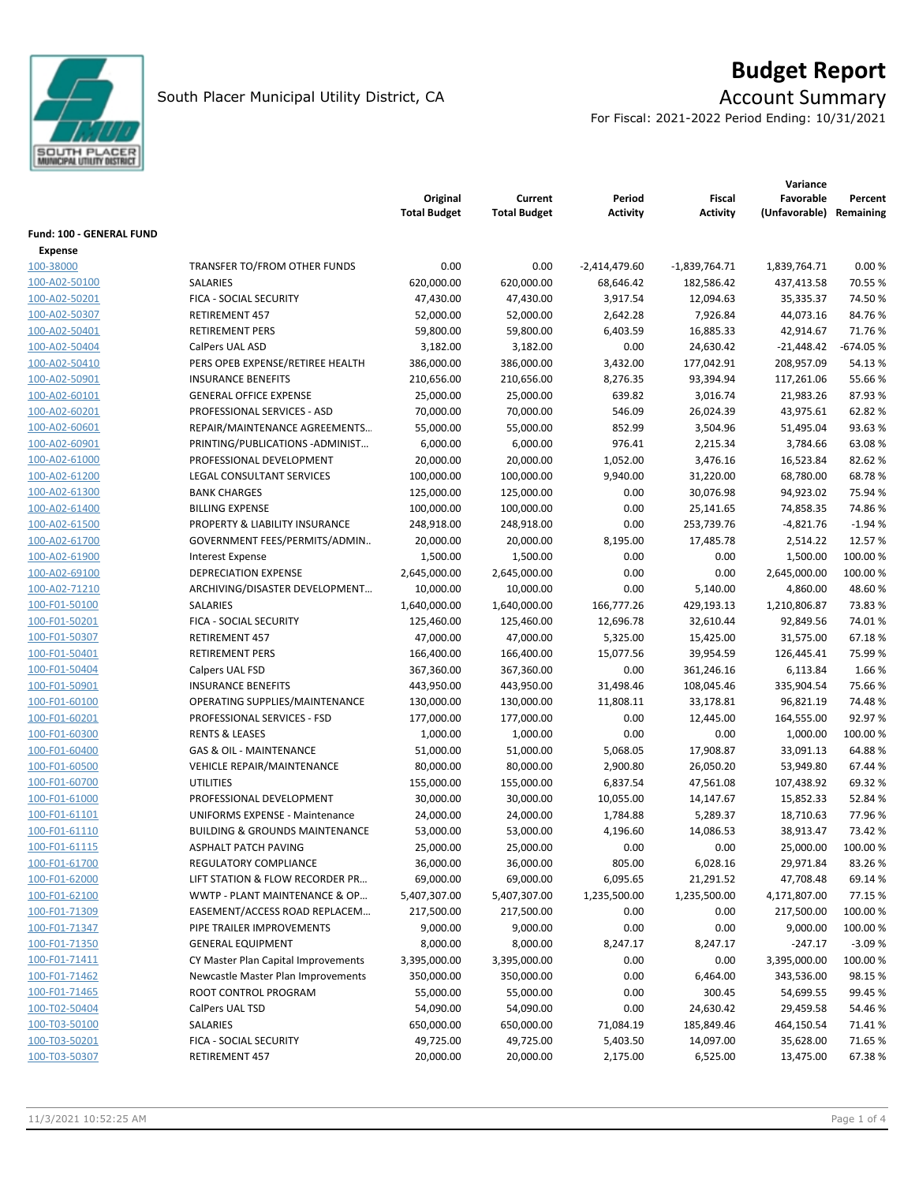

# **Budget Report**

For Fiscal: 2021-2022 Period Ending: 10/31/2021

|                          |                                           | Original<br><b>Total Budget</b> | Current<br><b>Total Budget</b> | Period<br>Activity | <b>Fiscal</b><br><b>Activity</b> | Variance<br>Favorable<br>(Unfavorable) | Percent<br>Remaining |
|--------------------------|-------------------------------------------|---------------------------------|--------------------------------|--------------------|----------------------------------|----------------------------------------|----------------------|
|                          |                                           |                                 |                                |                    |                                  |                                        |                      |
| Fund: 100 - GENERAL FUND |                                           |                                 |                                |                    |                                  |                                        |                      |
| <b>Expense</b>           |                                           | 0.00                            | 0.00                           |                    |                                  |                                        | 0.00%                |
| 100-38000                | TRANSFER TO/FROM OTHER FUNDS              |                                 |                                | $-2,414,479.60$    | $-1,839,764.71$                  | 1,839,764.71<br>437,413.58             |                      |
| 100-A02-50100            | SALARIES                                  | 620,000.00                      | 620,000.00                     | 68,646.42          | 182,586.42                       |                                        | 70.55 %              |
| 100-A02-50201            | FICA - SOCIAL SECURITY                    | 47,430.00                       | 47,430.00                      | 3,917.54           | 12,094.63                        | 35,335.37                              | 74.50%               |
| 100-A02-50307            | RETIREMENT 457                            | 52,000.00                       | 52,000.00                      | 2,642.28           | 7,926.84                         | 44,073.16                              | 84.76%               |
| 100-A02-50401            | <b>RETIREMENT PERS</b>                    | 59,800.00                       | 59,800.00                      | 6,403.59           | 16,885.33                        | 42,914.67                              | 71.76%               |
| 100-A02-50404            | CalPers UAL ASD                           | 3,182.00                        | 3,182.00                       | 0.00               | 24,630.42                        | $-21,448.42$                           | $-674.05%$           |
| 100-A02-50410            | PERS OPEB EXPENSE/RETIREE HEALTH          | 386,000.00                      | 386,000.00                     | 3,432.00           | 177,042.91                       | 208,957.09                             | 54.13%               |
| 100-A02-50901            | <b>INSURANCE BENEFITS</b>                 | 210,656.00                      | 210,656.00                     | 8,276.35           | 93,394.94                        | 117,261.06                             | 55.66%               |
| 100-A02-60101            | <b>GENERAL OFFICE EXPENSE</b>             | 25,000.00                       | 25,000.00                      | 639.82             | 3,016.74                         | 21,983.26                              | 87.93%               |
| 100-A02-60201            | PROFESSIONAL SERVICES - ASD               | 70,000.00                       | 70,000.00                      | 546.09             | 26,024.39                        | 43,975.61                              | 62.82%               |
| 100-A02-60601            | REPAIR/MAINTENANCE AGREEMENTS             | 55,000.00                       | 55,000.00                      | 852.99             | 3,504.96                         | 51,495.04                              | 93.63%               |
| 100-A02-60901            | PRINTING/PUBLICATIONS-ADMINIST            | 6,000.00                        | 6,000.00                       | 976.41             | 2,215.34                         | 3,784.66                               | 63.08%               |
| 100-A02-61000            | PROFESSIONAL DEVELOPMENT                  | 20,000.00                       | 20,000.00                      | 1,052.00           | 3,476.16                         | 16,523.84                              | 82.62%               |
| 100-A02-61200            | LEGAL CONSULTANT SERVICES                 | 100,000.00                      | 100,000.00                     | 9,940.00           | 31,220.00                        | 68,780.00                              | 68.78%               |
| 100-A02-61300            | <b>BANK CHARGES</b>                       | 125,000.00                      | 125,000.00                     | 0.00               | 30,076.98                        | 94,923.02                              | 75.94 %              |
| 100-A02-61400            | <b>BILLING EXPENSE</b>                    | 100,000.00                      | 100,000.00                     | 0.00               | 25,141.65                        | 74,858.35                              | 74.86%               |
| 100-A02-61500            | PROPERTY & LIABILITY INSURANCE            | 248,918.00                      | 248,918.00                     | 0.00               | 253,739.76                       | $-4,821.76$                            | $-1.94%$             |
| 100-A02-61700            | GOVERNMENT FEES/PERMITS/ADMIN             | 20,000.00                       | 20,000.00                      | 8,195.00           | 17,485.78                        | 2,514.22                               | 12.57%               |
| 100-A02-61900            | <b>Interest Expense</b>                   | 1,500.00                        | 1,500.00                       | 0.00               | 0.00                             | 1,500.00                               | 100.00%              |
| 100-A02-69100            | <b>DEPRECIATION EXPENSE</b>               | 2,645,000.00                    | 2,645,000.00                   | 0.00               | 0.00                             | 2,645,000.00                           | 100.00%              |
| 100-A02-71210            | ARCHIVING/DISASTER DEVELOPMENT            | 10,000.00                       | 10,000.00                      | 0.00               | 5,140.00                         | 4,860.00                               | 48.60%               |
| 100-F01-50100            | SALARIES                                  | 1,640,000.00                    | 1,640,000.00                   | 166,777.26         | 429,193.13                       | 1,210,806.87                           | 73.83%               |
| 100-F01-50201            | FICA - SOCIAL SECURITY                    | 125,460.00                      | 125,460.00                     | 12,696.78          | 32,610.44                        | 92,849.56                              | 74.01%               |
| 100-F01-50307            | <b>RETIREMENT 457</b>                     | 47,000.00                       | 47,000.00                      | 5,325.00           | 15,425.00                        | 31,575.00                              | 67.18%               |
| 100-F01-50401            | <b>RETIREMENT PERS</b>                    | 166,400.00                      | 166,400.00                     | 15,077.56          | 39,954.59                        | 126,445.41                             | 75.99%               |
| 100-F01-50404            | Calpers UAL FSD                           | 367,360.00                      | 367,360.00                     | 0.00               | 361,246.16                       | 6,113.84                               | 1.66 %               |
| 100-F01-50901            | <b>INSURANCE BENEFITS</b>                 | 443,950.00                      | 443,950.00                     | 31,498.46          | 108,045.46                       | 335,904.54                             | 75.66%               |
| 100-F01-60100            | OPERATING SUPPLIES/MAINTENANCE            | 130,000.00                      | 130,000.00                     | 11,808.11          | 33,178.81                        | 96,821.19                              | 74.48%               |
| 100-F01-60201            | PROFESSIONAL SERVICES - FSD               | 177,000.00                      | 177,000.00                     | 0.00               | 12,445.00                        | 164,555.00                             | 92.97%               |
| 100-F01-60300            | <b>RENTS &amp; LEASES</b>                 | 1,000.00                        | 1,000.00                       | 0.00               | 0.00                             | 1,000.00                               | 100.00 %             |
| 100-F01-60400            | <b>GAS &amp; OIL - MAINTENANCE</b>        | 51,000.00                       | 51,000.00                      | 5,068.05           | 17,908.87                        | 33,091.13                              | 64.88%               |
| 100-F01-60500            | <b>VEHICLE REPAIR/MAINTENANCE</b>         | 80,000.00                       | 80,000.00                      | 2,900.80           | 26,050.20                        | 53,949.80                              | 67.44 %              |
| 100-F01-60700            | <b>UTILITIES</b>                          | 155,000.00                      | 155,000.00                     | 6,837.54           | 47,561.08                        | 107,438.92                             | 69.32%               |
| 100-F01-61000            | PROFESSIONAL DEVELOPMENT                  | 30,000.00                       | 30,000.00                      | 10,055.00          | 14,147.67                        | 15,852.33                              | 52.84 %              |
| 100-F01-61101            | UNIFORMS EXPENSE - Maintenance            | 24,000.00                       | 24,000.00                      | 1,784.88           | 5,289.37                         | 18,710.63                              | 77.96%               |
| 100-F01-61110            | <b>BUILDING &amp; GROUNDS MAINTENANCE</b> | 53,000.00                       | 53,000.00                      | 4,196.60           | 14,086.53                        | 38,913.47                              | 73.42 %              |
| 100-F01-61115            | <b>ASPHALT PATCH PAVING</b>               | 25,000.00                       | 25,000.00                      | 0.00               | 0.00                             | 25,000.00                              | 100.00%              |
| 100-F01-61700            | REGULATORY COMPLIANCE                     | 36,000.00                       | 36,000.00                      | 805.00             | 6,028.16                         | 29,971.84                              | 83.26%               |
| 100-F01-62000            | LIFT STATION & FLOW RECORDER PR           | 69,000.00                       | 69,000.00                      | 6,095.65           | 21,291.52                        | 47,708.48                              | 69.14 %              |
| 100-F01-62100            | WWTP - PLANT MAINTENANCE & OP             | 5,407,307.00                    | 5,407,307.00                   | 1,235,500.00       | 1,235,500.00                     | 4,171,807.00                           | 77.15 %              |
| 100-F01-71309            | EASEMENT/ACCESS ROAD REPLACEM             | 217,500.00                      | 217,500.00                     | 0.00               | 0.00                             | 217,500.00                             | 100.00%              |
| 100-F01-71347            | PIPE TRAILER IMPROVEMENTS                 | 9,000.00                        | 9,000.00                       | 0.00               | 0.00                             | 9,000.00                               | 100.00 %             |
| 100-F01-71350            | <b>GENERAL EQUIPMENT</b>                  | 8,000.00                        | 8,000.00                       | 8,247.17           | 8,247.17                         | $-247.17$                              | $-3.09%$             |
| 100-F01-71411            | CY Master Plan Capital Improvements       | 3,395,000.00                    | 3,395,000.00                   | 0.00               | 0.00                             | 3,395,000.00                           | 100.00%              |
| 100-F01-71462            | Newcastle Master Plan Improvements        | 350,000.00                      | 350,000.00                     | 0.00               | 6,464.00                         | 343,536.00                             | 98.15%               |
| 100-F01-71465            | ROOT CONTROL PROGRAM                      | 55,000.00                       | 55,000.00                      | 0.00               | 300.45                           | 54,699.55                              | 99.45%               |
| 100-T02-50404            | CalPers UAL TSD                           | 54,090.00                       | 54,090.00                      | 0.00               | 24,630.42                        | 29,459.58                              | 54.46%               |
| 100-T03-50100            | SALARIES                                  | 650,000.00                      | 650,000.00                     | 71,084.19          | 185,849.46                       | 464,150.54                             | 71.41%               |
| 100-T03-50201            | FICA - SOCIAL SECURITY                    | 49,725.00                       | 49,725.00                      | 5,403.50           | 14,097.00                        | 35,628.00                              | 71.65%               |
| 100-T03-50307            | RETIREMENT 457                            | 20,000.00                       | 20,000.00                      | 2,175.00           | 6,525.00                         | 13,475.00                              | 67.38%               |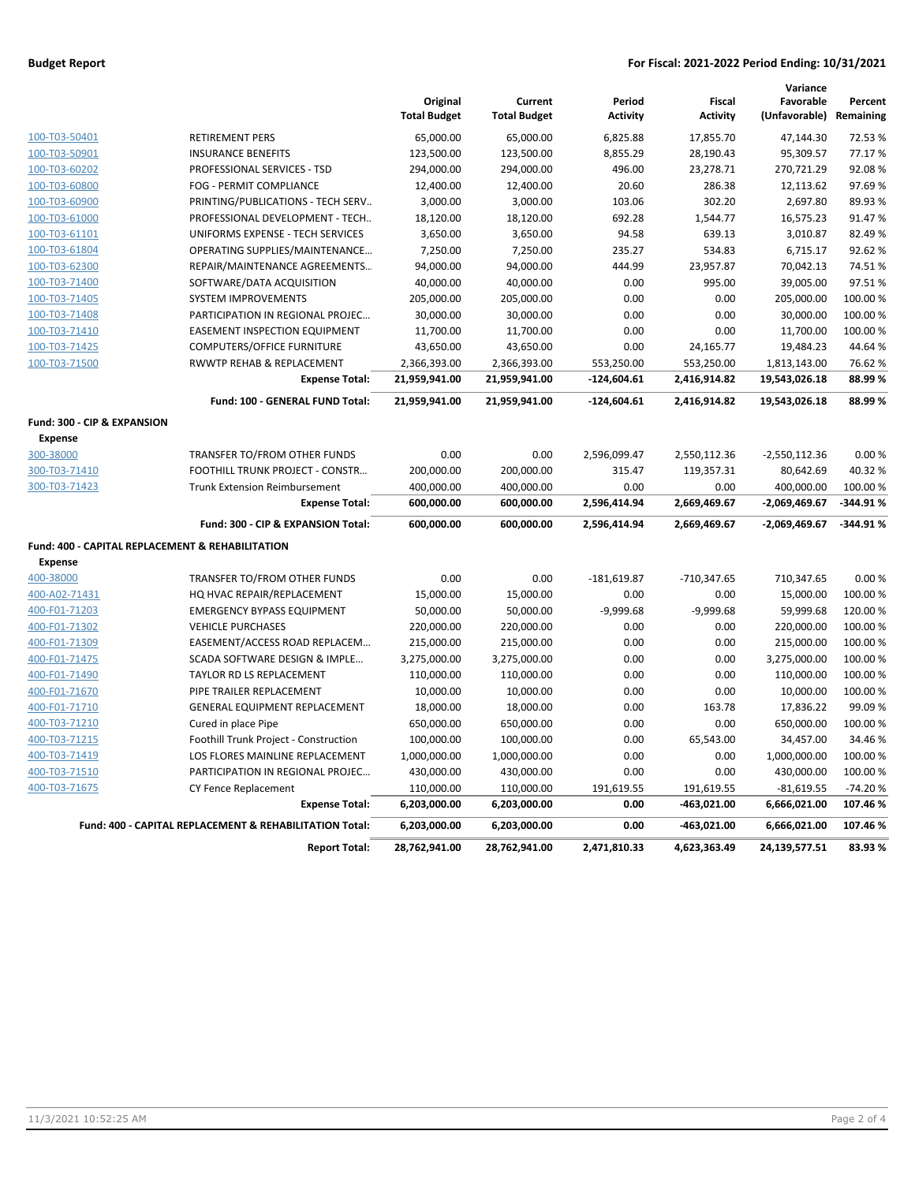### **Budget Report For Fiscal: 2021-2022 Period Ending: 10/31/2021**

|                                                  |                                                         | Original<br><b>Total Budget</b> | Current<br><b>Total Budget</b> | Period<br><b>Activity</b> | <b>Fiscal</b><br><b>Activity</b> | Variance<br>Favorable<br>(Unfavorable) | Percent<br>Remaining |
|--------------------------------------------------|---------------------------------------------------------|---------------------------------|--------------------------------|---------------------------|----------------------------------|----------------------------------------|----------------------|
| 100-T03-50401                                    | <b>RETIREMENT PERS</b>                                  | 65,000.00                       | 65,000.00                      | 6,825.88                  | 17,855.70                        | 47,144.30                              | 72.53 %              |
| 100-T03-50901                                    | <b>INSURANCE BENEFITS</b>                               | 123,500.00                      | 123,500.00                     | 8,855.29                  | 28,190.43                        | 95,309.57                              | 77.17%               |
| 100-T03-60202                                    | PROFESSIONAL SERVICES - TSD                             | 294,000.00                      | 294,000.00                     | 496.00                    | 23,278.71                        | 270,721.29                             | 92.08%               |
| 100-T03-60800                                    | FOG - PERMIT COMPLIANCE                                 | 12,400.00                       | 12,400.00                      | 20.60                     | 286.38                           | 12,113.62                              | 97.69%               |
| 100-T03-60900                                    | PRINTING/PUBLICATIONS - TECH SERV                       | 3,000.00                        | 3,000.00                       | 103.06                    | 302.20                           | 2,697.80                               | 89.93%               |
| 100-T03-61000                                    | PROFESSIONAL DEVELOPMENT - TECH                         | 18,120.00                       | 18,120.00                      | 692.28                    | 1,544.77                         | 16,575.23                              | 91.47%               |
| 100-T03-61101                                    | UNIFORMS EXPENSE - TECH SERVICES                        | 3,650.00                        | 3,650.00                       | 94.58                     | 639.13                           | 3.010.87                               | 82.49%               |
| 100-T03-61804                                    | OPERATING SUPPLIES/MAINTENANCE                          | 7,250.00                        | 7,250.00                       | 235.27                    | 534.83                           | 6,715.17                               | 92.62%               |
| 100-T03-62300                                    | REPAIR/MAINTENANCE AGREEMENTS                           | 94,000.00                       | 94,000.00                      | 444.99                    | 23,957.87                        | 70,042.13                              | 74.51%               |
| 100-T03-71400                                    | SOFTWARE/DATA ACQUISITION                               | 40,000.00                       | 40,000.00                      | 0.00                      | 995.00                           | 39,005.00                              | 97.51%               |
| 100-T03-71405                                    | <b>SYSTEM IMPROVEMENTS</b>                              | 205,000.00                      | 205,000.00                     | 0.00                      | 0.00                             | 205,000.00                             | 100.00%              |
| 100-T03-71408                                    | PARTICIPATION IN REGIONAL PROJEC                        | 30,000.00                       | 30,000.00                      | 0.00                      | 0.00                             | 30,000.00                              | 100.00%              |
| 100-T03-71410                                    | <b>EASEMENT INSPECTION EQUIPMENT</b>                    | 11,700.00                       | 11,700.00                      | 0.00                      | 0.00                             | 11,700.00                              | 100.00 %             |
| 100-T03-71425                                    | <b>COMPUTERS/OFFICE FURNITURE</b>                       | 43,650.00                       | 43,650.00                      | 0.00                      | 24,165.77                        | 19,484.23                              | 44.64%               |
| 100-T03-71500                                    | RWWTP REHAB & REPLACEMENT                               | 2,366,393.00                    | 2,366,393.00                   | 553,250.00                | 553,250.00                       | 1,813,143.00                           | 76.62%               |
|                                                  | <b>Expense Total:</b>                                   | 21,959,941.00                   | 21,959,941.00                  | $-124,604.61$             | 2,416,914.82                     | 19,543,026.18                          | 88.99%               |
|                                                  | Fund: 100 - GENERAL FUND Total:                         | 21,959,941.00                   | 21,959,941.00                  | $-124,604.61$             | 2,416,914.82                     | 19,543,026.18                          | 88.99%               |
| Fund: 300 - CIP & EXPANSION                      |                                                         |                                 |                                |                           |                                  |                                        |                      |
| <b>Expense</b>                                   |                                                         |                                 |                                |                           |                                  |                                        |                      |
| 300-38000                                        | TRANSFER TO/FROM OTHER FUNDS                            | 0.00                            | 0.00                           | 2,596,099.47              | 2,550,112.36                     | $-2,550,112.36$                        | 0.00%                |
| 300-T03-71410                                    | FOOTHILL TRUNK PROJECT - CONSTR                         | 200,000.00                      | 200,000.00                     | 315.47                    | 119,357.31                       | 80,642.69                              | 40.32%               |
| 300-T03-71423                                    | <b>Trunk Extension Reimbursement</b>                    | 400,000.00                      | 400,000.00                     | 0.00                      | 0.00                             | 400,000.00                             | 100.00 %             |
|                                                  | <b>Expense Total:</b>                                   | 600,000.00                      | 600,000.00                     | 2,596,414.94              | 2,669,469.67                     | $-2,069,469.67$                        | $-344.91%$           |
|                                                  | Fund: 300 - CIP & EXPANSION Total:                      | 600,000.00                      | 600,000.00                     | 2,596,414.94              | 2,669,469.67                     | $-2,069,469.67$                        | $-344.91%$           |
| Fund: 400 - CAPITAL REPLACEMENT & REHABILITATION |                                                         |                                 |                                |                           |                                  |                                        |                      |
| <b>Expense</b>                                   |                                                         |                                 |                                |                           |                                  |                                        |                      |
| 400-38000                                        | TRANSFER TO/FROM OTHER FUNDS                            | 0.00                            | 0.00                           | $-181,619.87$             | -710,347.65                      | 710,347.65                             | 0.00%                |
| 400-A02-71431                                    | HQ HVAC REPAIR/REPLACEMENT                              | 15,000.00                       | 15,000.00                      | 0.00                      | 0.00                             | 15,000.00                              | 100.00 %             |
| 400-F01-71203                                    | <b>EMERGENCY BYPASS EQUIPMENT</b>                       | 50,000.00                       | 50,000.00                      | $-9,999.68$               | $-9,999.68$                      | 59,999.68                              | 120.00%              |
| 400-F01-71302                                    | <b>VEHICLE PURCHASES</b>                                | 220,000.00                      | 220,000.00                     | 0.00                      | 0.00                             | 220,000.00                             | 100.00 %             |
| 400-F01-71309                                    | EASEMENT/ACCESS ROAD REPLACEM                           | 215,000.00                      | 215,000.00                     | 0.00                      | 0.00                             | 215,000.00                             | 100.00 %             |
| 400-F01-71475                                    | SCADA SOFTWARE DESIGN & IMPLE                           | 3,275,000.00                    | 3,275,000.00                   | 0.00                      | 0.00                             | 3,275,000.00                           | 100.00 %             |
| 400-F01-71490                                    | TAYLOR RD LS REPLACEMENT                                | 110,000.00                      | 110,000.00                     | 0.00                      | 0.00                             | 110,000.00                             | 100.00 %             |
| 400-F01-71670                                    | PIPE TRAILER REPLACEMENT                                | 10,000.00                       | 10,000.00                      | 0.00                      | 0.00                             | 10,000.00                              | 100.00 %             |
| 400-F01-71710                                    | GENERAL EQUIPMENT REPLACEMENT                           | 18,000.00                       | 18,000.00                      | 0.00                      | 163.78                           | 17,836.22                              | 99.09%               |
| 400-T03-71210                                    | Cured in place Pipe                                     | 650,000.00                      | 650,000.00                     | 0.00                      | 0.00                             | 650,000.00                             | 100.00%              |
| 400-T03-71215                                    | Foothill Trunk Project - Construction                   | 100,000.00                      | 100,000.00                     | 0.00                      | 65,543.00                        | 34,457.00                              | 34.46%               |
| 400-T03-71419                                    | LOS FLORES MAINLINE REPLACEMENT                         | 1,000,000.00                    | 1,000,000.00                   | 0.00                      | 0.00                             | 1,000,000.00                           | 100.00 %             |
| 400-T03-71510                                    | PARTICIPATION IN REGIONAL PROJEC                        | 430,000.00                      | 430,000.00                     | 0.00                      | 0.00                             | 430,000.00                             | 100.00 %             |
| 400-T03-71675                                    | CY Fence Replacement                                    | 110,000.00                      | 110,000.00                     | 191,619.55                | 191,619.55                       | $-81,619.55$                           | $-74.20%$            |
|                                                  | <b>Expense Total:</b>                                   | 6,203,000.00                    | 6,203,000.00                   | 0.00                      | $-463,021.00$                    | 6,666,021.00                           | 107.46%              |
|                                                  | Fund: 400 - CAPITAL REPLACEMENT & REHABILITATION Total: | 6,203,000.00                    | 6,203,000.00                   | 0.00                      | $-463,021.00$                    | 6,666,021.00                           | 107.46%              |
|                                                  | <b>Report Total:</b>                                    | 28,762,941.00                   | 28,762,941.00                  | 2,471,810.33              | 4,623,363.49                     | 24,139,577.51                          | 83.93%               |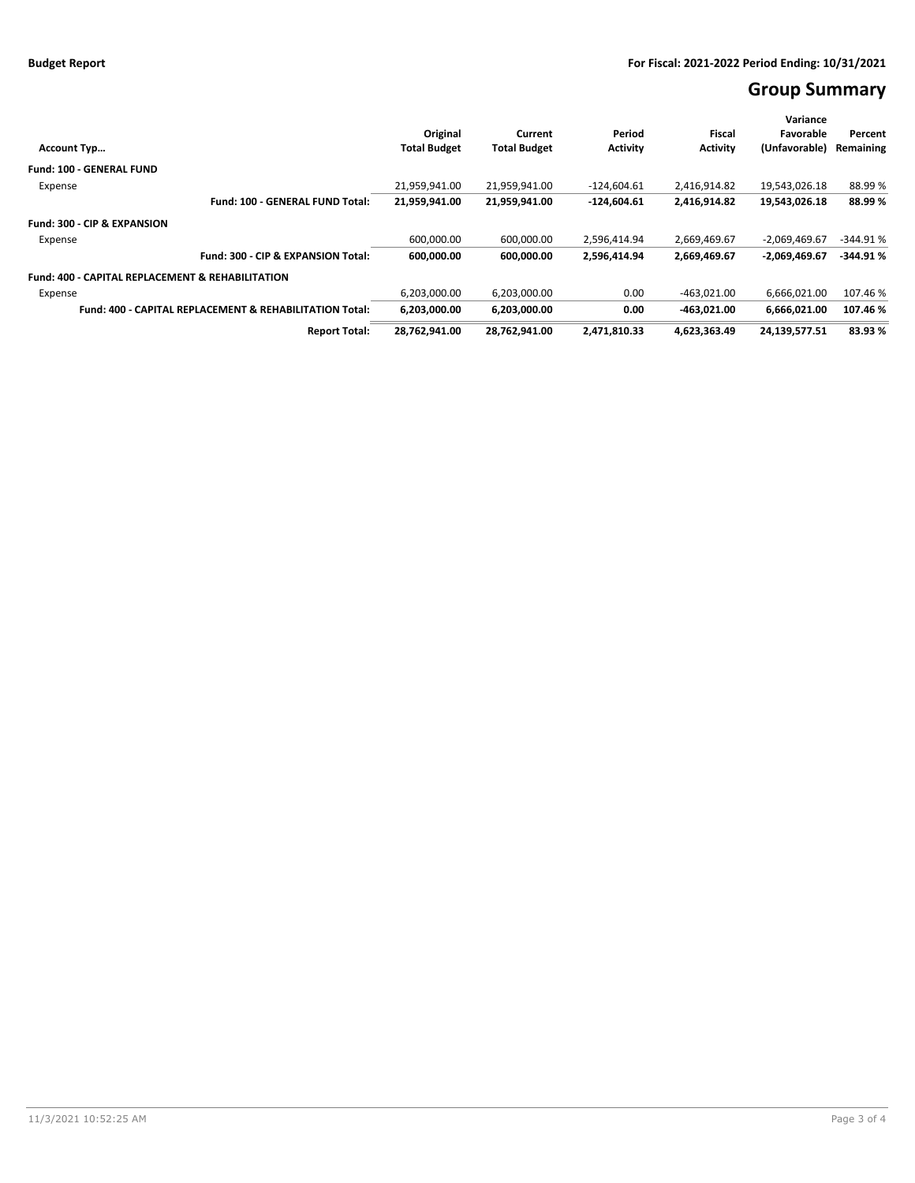# **Group Summary**

|                                                                    |                     |                     | Period          | Fiscal          | Variance<br>Favorable |            |
|--------------------------------------------------------------------|---------------------|---------------------|-----------------|-----------------|-----------------------|------------|
|                                                                    | Original            | Current             |                 |                 |                       | Percent    |
| <b>Account Typ</b>                                                 | <b>Total Budget</b> | <b>Total Budget</b> | <b>Activity</b> | <b>Activity</b> | (Unfavorable)         | Remaining  |
| <b>Fund: 100 - GENERAL FUND</b>                                    |                     |                     |                 |                 |                       |            |
| Expense                                                            | 21.959.941.00       | 21.959.941.00       | $-124.604.61$   | 2.416.914.82    | 19.543.026.18         | 88.99%     |
| Fund: 100 - GENERAL FUND Total:                                    | 21,959,941.00       | 21,959,941.00       | $-124,604.61$   | 2,416,914.82    | 19,543,026.18         | 88.99%     |
| Fund: 300 - CIP & EXPANSION                                        |                     |                     |                 |                 |                       |            |
| Expense                                                            | 600,000.00          | 600,000.00          | 2,596,414.94    | 2,669,469.67    | $-2,069,469.67$       | $-344.91%$ |
| Fund: 300 - CIP & EXPANSION Total:                                 | 600,000.00          | 600.000.00          | 2,596,414.94    | 2,669,469.67    | $-2,069,469.67$       | $-344.91%$ |
| <b>Fund: 400 - CAPITAL REPLACEMENT &amp; REHABILITATION</b>        |                     |                     |                 |                 |                       |            |
| Expense                                                            | 6,203,000.00        | 6,203,000.00        | 0.00            | $-463,021.00$   | 6,666,021.00          | 107.46%    |
| <b>Fund: 400 - CAPITAL REPLACEMENT &amp; REHABILITATION Total:</b> | 6,203,000.00        | 6,203,000.00        | 0.00            | -463.021.00     | 6.666.021.00          | 107.46%    |
| <b>Report Total:</b>                                               | 28,762,941.00       | 28,762,941.00       | 2,471,810.33    | 4,623,363.49    | 24,139,577.51         | 83.93 %    |
|                                                                    |                     |                     |                 |                 |                       |            |